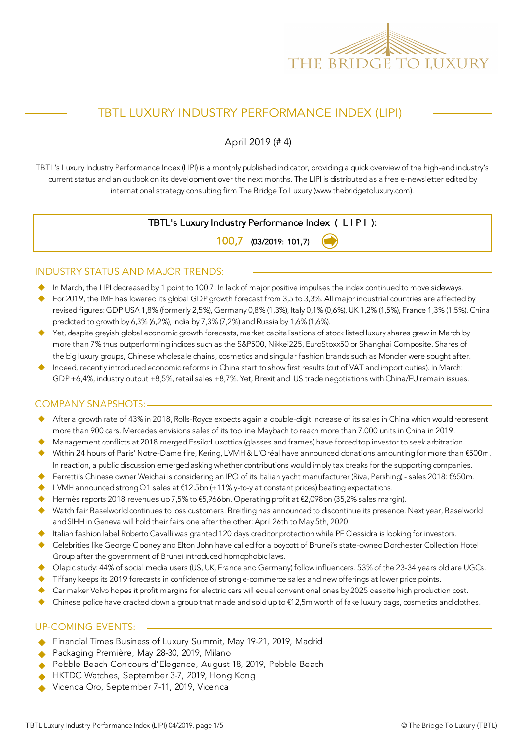

# TBTL LUXURY INDUSTRY PERFORMANCE INDEX (LIPI)

April 2019 (# 4)

TBTL's Luxury Industry Performance Index (LIPI) is a monthly published indicator, providing a quick overview of the high-end industry's current status and an outlook on its development over the next months. The LIPI is distributed as a free e-newsletter edited by international strategy consulting firm The Bridge To Luxury (www.thebridgetoluxury.com).

## TBTL's Luxury Industry Performance Index ( L I P I ):

100,7 (03/2019: 101,7)

#### INDUSTRY STATUS AND MAJOR TRENDS:

- u In March, the LIPI decreased by 1 point to 100,7. In lack of major positive impulses the index continued to move sideways.
- For 2019, the IMF has lowered its global GDP growth forecast from 3,5 to 3,3%. All major industrial countries are affected by revised figures: GDP USA 1,8% (formerly 2,5%), Germany 0,8% (1,3%), Italy 0,1% (0,6%), UK 1,2% (1,5%), France 1,3% (1,5%). China is predicted to growth by 6,3% (6,2%), India by 7,3% (7,2%) and Russia by 1,6% (1,6%).
- Yet, despite greyish global economic growth forecasts, market capitalisations of stock listed luxury shares grew in March by more than 7% thus outperforming indices such as the S&P500, Nikkei225, EuroStoxx50 or Shanghai Composite. Shares of the big luxury groups, Chinese wholesale chains, cosmetics and singular fashion brands such as Moncler were sought after.
- Indeed, recently introduced economic reforms in China start to show first results (cut of VAT and import duties). In March: GDP +6,4%, industry output +8,5%, retail sales +8,7%. Yet, Brexit and US trade negotiations with China/EU remain issues.

## COMPANY SNAPSHOTS:

- ◆ After a growth rate of 43% in 2018, Rolls-Royce expects again a double-digit increase of its sales in China which would represent more than 900 cars. Mercedes envisions sales of its top line Maybach to reach more than 7.000 units in China in 2019.
- Management conflicts at 2018 merged EssilorLuxottica (glasses and frames) have forced top investor to seek arbitration.
- Within 24 hours of Paris' Notre-Dame fire, Kering, LVMH & L'Oréal have announced donations amounting for more than €500m. In reaction, a public discussion emerged asking whether contributions would imply tax breaks for the supporting companies.
- u Ferretti's Chinese owner Weichai is considering an IPO of its Italian yacht manufacturer (Riva, Pershing) sales 2018: €650m.
- LVMH announced strong Q1 sales at  $£12.5$ bn (+11% y-to-y at constant prices) beating expectations.
- Hermès reports 2018 revenues up 7,5% to €5,966bn. Operating profit at €2,098bn (35,2% sales margin).
- u Watch fair Baselworld continues to loss customers. Breitling has announced to discontinue its presence. Next year, Baselworld and SIHH in Geneva will hold their fairs one after the other: April 26th to May 5th, 2020.
- Italian fashion label Roberto Cavalli was granted 120 days creditor protection while PE Clessidra is looking for investors.
- u Celebrities like George Clooney and Elton John have called for a boycott of Brunei's state-owned Dorchester Collection Hotel Group after the government of Brunei introduced homophobic laws.
- ◆ Olapic study: 44% of social media users (US, UK, France and Germany) follow influencers. 53% of the 23-34 years old are UGCs.
- u Tiffany keeps its 2019 forecasts in confidence of strong e-commerce sales and new offerings at lower price points.
- Car maker Volvo hopes it profit margins for electric cars will equal conventional ones by 2025 despite high production cost.
- ◆ Chinese police have cracked down a group that made and sold up to €12,5m worth of fake luxury bags, cosmetics and clothes.

#### UP-COMING EVENTS:

- u Financial Times Business of Luxury Summit, May 19-21, 2019, Madrid
- Packaging Première, May 28-30, 2019, Milano
- Bebble Beach Concours d'Elegance, August 18, 2019, Pebble Beach
- HKTDC Watches, September 3-7, 2019, Hong Kong
- ◆ Vicenca Oro, September 7-11, 2019, Vicenca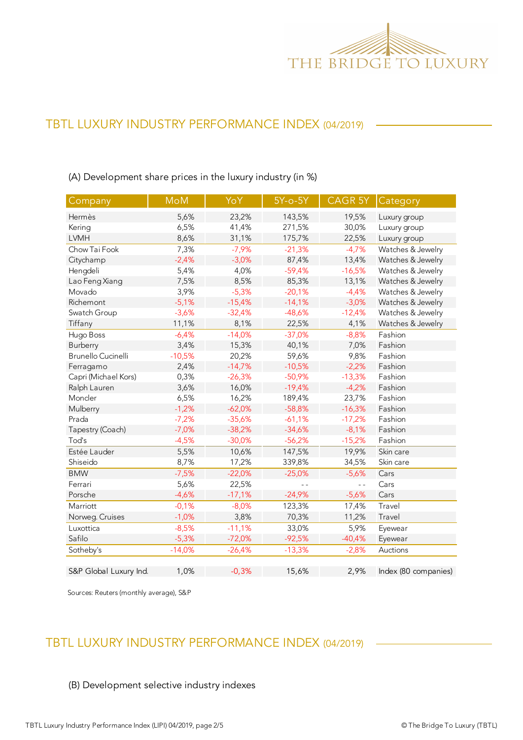

# TBTL LUXURY INDUSTRY PERFORMANCE INDEX (04/2019)

(A) Development share prices in the luxury industry (in %)

| Company                   | <b>MoM</b> | YoY      | $5Y$ -o- $5Y$ | CAGR 5Y  | Category             |
|---------------------------|------------|----------|---------------|----------|----------------------|
| Hermès                    | 5,6%       | 23,2%    | 143,5%        | 19,5%    | Luxury group         |
| Kering                    | 6,5%       | 41,4%    | 271,5%        | 30,0%    | Luxury group         |
| <b>LVMH</b>               | 8,6%       | 31,1%    | 175,7%        | 22,5%    | Luxury group         |
| Chow Tai Fook             | 7,3%       | $-7,9%$  | $-21,3%$      | $-4,7%$  | Watches & Jewelry    |
| Citychamp                 | $-2,4%$    | $-3,0%$  | 87,4%         | 13,4%    | Watches & Jewelry    |
| Hengdeli                  | 5,4%       | 4,0%     | $-59,4%$      | $-16,5%$ | Watches & Jewelry    |
| Lao Feng Xiang            | 7,5%       | 8,5%     | 85,3%         | 13,1%    | Watches & Jewelry    |
| Movado                    | 3,9%       | $-5,3%$  | $-20,1%$      | $-4,4%$  | Watches & Jewelry    |
| Richemont                 | $-5,1%$    | $-15,4%$ | $-14,1%$      | $-3,0%$  | Watches & Jewelry    |
| Swatch Group              | $-3,6%$    | $-32,4%$ | $-48,6%$      | $-12,4%$ | Watches & Jewelry    |
| Tiffany                   | 11,1%      | 8,1%     | 22,5%         | 4,1%     | Watches & Jewelry    |
| Hugo Boss                 | $-6,4%$    | $-14,0%$ | $-37,0%$      | $-8,8%$  | Fashion              |
| Burberry                  | 3,4%       | 15,3%    | 40,1%         | 7,0%     | Fashion              |
| <b>Brunello Cucinelli</b> | $-10,5%$   | 20,2%    | 59,6%         | 9,8%     | Fashion              |
| Ferragamo                 | 2,4%       | $-14,7%$ | $-10,5%$      | $-2,2%$  | Fashion              |
| Capri (Michael Kors)      | 0,3%       | $-26,3%$ | $-50,9%$      | $-13,3%$ | Fashion              |
| Ralph Lauren              | 3,6%       | 16,0%    | $-19,4%$      | $-4,2%$  | Fashion              |
| Moncler                   | 6,5%       | 16,2%    | 189,4%        | 23,7%    | Fashion              |
| Mulberry                  | $-1,2%$    | $-62,0%$ | $-58,8%$      | $-16,3%$ | Fashion              |
| Prada                     | $-7,2%$    | $-35,6%$ | $-61,1%$      | $-17,2%$ | Fashion              |
| Tapestry (Coach)          | $-7,0%$    | $-38,2%$ | $-34,6%$      | $-8,1%$  | Fashion              |
| Tod's                     | $-4,5%$    | $-30,0%$ | $-56,2%$      | $-15,2%$ | Fashion              |
| Estée Lauder              | 5,5%       | 10,6%    | 147,5%        | 19,9%    | Skin care            |
| Shiseido                  | 8,7%       | 17,2%    | 339,8%        | 34,5%    | Skin care            |
| <b>BMW</b>                | $-7,5%$    | $-22,0%$ | $-25,0%$      | $-5,6%$  | Cars                 |
| Ferrari                   | 5,6%       | 22,5%    | $ -$          | $ -$     | Cars                 |
| Porsche                   | $-4,6%$    | $-17,1%$ | $-24,9%$      | $-5,6%$  | Cars                 |
| Marriott                  | $-0,1%$    | $-8,0%$  | 123,3%        | 17,4%    | Travel               |
| Norweg. Cruises           | $-1,0%$    | 3,8%     | 70,3%         | 11,2%    | Travel               |
| Luxottica                 | $-8,5%$    | $-11,1%$ | 33,0%         | 5,9%     | Eyewear              |
| Safilo                    | $-5,3%$    | $-72,0%$ | $-92,5%$      | $-40,4%$ | Eyewear              |
| Sotheby's                 | $-14,0%$   | $-26,4%$ | $-13,3%$      | $-2,8%$  | Auctions             |
|                           |            |          |               |          |                      |
| S&P Global Luxury Ind.    | 1,0%       | $-0,3%$  | 15,6%         | 2,9%     | Index (80 companies) |

Sources: Reuters (monthly average), S&P

## TBTL LUXURY INDUSTRY PERFORMANCE INDEX (04/2019)

## (B) Development selective industry indexes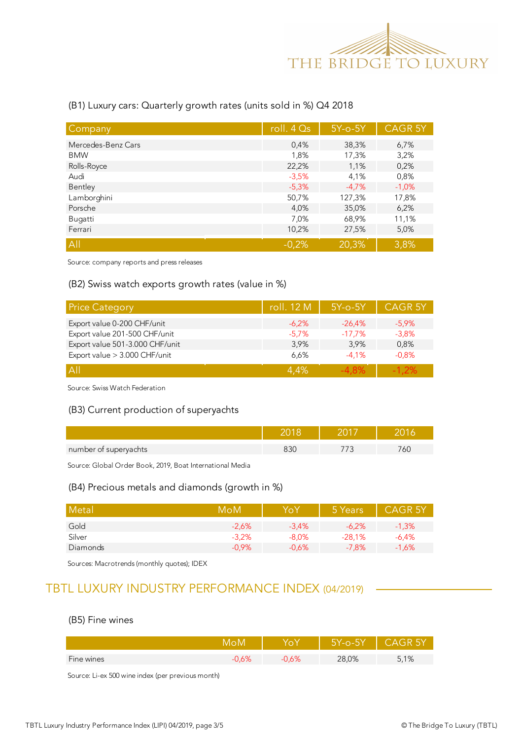

#### (B1) Luxury cars: Quarterly growth rates (units sold in %) Q4 2018

| Company            | roll. $4Qs$ | $5Y$ -o- $5Y$ | <b>CAGR 5Y</b> |
|--------------------|-------------|---------------|----------------|
| Mercedes-Benz Cars | 0,4%        | 38,3%         | 6,7%           |
| <b>BMW</b>         | 1,8%        | 17,3%         | 3,2%           |
| Rolls-Royce        | 22,2%       | 1,1%          | 0,2%           |
| Audi               | $-3,5%$     | 4,1%          | 0,8%           |
| Bentley            | $-5,3%$     | $-4.7%$       | $-1,0%$        |
| Lamborghini        | 50,7%       | 127,3%        | 17,8%          |
| Porsche            | 4,0%        | 35,0%         | 6,2%           |
| Bugatti            | 7,0%        | 68,9%         | 11,1%          |
| Ferrari            | 10,2%       | 27,5%         | 5,0%           |
| A                  | $-0.2%$     | 20,3%         | 3,8%           |

Source: company reports and press releases

#### (B2) Swiss watch exports growth rates (value in %)

| <b>Price Category</b>           | roll. 12 M | $5Y$ -o- $5Y$ | <b>CAGR 5Y</b> |
|---------------------------------|------------|---------------|----------------|
| Export value 0-200 CHF/unit     | $-6.2%$    | $-26.4%$      | $-5.9\%$       |
| Export value 201-500 CHF/unit   | $-5.7\%$   | $-17.7%$      | $-3.8%$        |
| Export value 501-3.000 CHF/unit | 3.9%       | 3.9%          | 0,8%           |
| Export value > 3.000 CHF/unit   | 6.6%       | $-4.1%$       | $-0.8%$        |
| A                               | 4.4%       | l 8%.         | $-1.2\%$       |

Source: Swiss Watch Federation

#### (B3) Current production of superyachts

| number of superyachts |  | Οl |
|-----------------------|--|----|

Source: Global Order Book, 2019, Boat International Media

#### (B4) Precious metals and diamonds (growth in %)

| Metal    | MoM      | YoY     | 5 Years  | <b>CAGR 5Y</b> |
|----------|----------|---------|----------|----------------|
| Gold     | $-2.6%$  | $-3.4%$ | $-6.2\%$ | $-1,3%$        |
| Silver   | $-3.2\%$ | -8.0%   | $-28.1%$ | $-6,4%$        |
| Diamonds | $-0.9%$  | $-0.6%$ | $-7,8%$  | $-1,6%$        |

Sources: Macrotrends (monthly quotes); IDEX

## TBTL LUXURY INDUSTRY PERFORMANCE INDEX (04/2019)

#### (B5) Fine wines

|            |       | ∕-∩-≻ |      |
|------------|-------|-------|------|
| Fine wines | ,O /o | 28,0% | 5,1% |

Source: Li-ex 500 wine index (per previous month)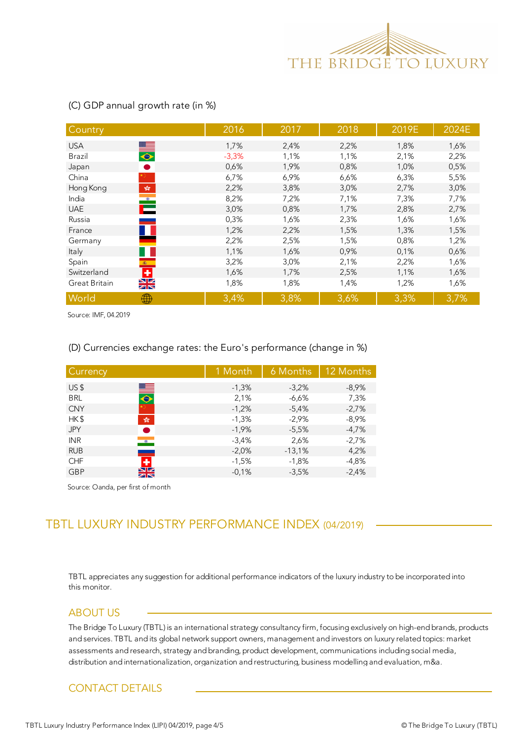

| Country                                                              | 2016    | 2017 | 2018 | 2019E | 2024E |
|----------------------------------------------------------------------|---------|------|------|-------|-------|
| <b>USA</b>                                                           | 1,7%    | 2,4% | 2,2% | 1,8%  | 1,6%  |
| $\bullet$<br><b>Brazil</b>                                           | $-3,3%$ | 1,1% | 1,1% | 2,1%  | 2,2%  |
| $\bullet$<br>Japan                                                   | 0,6%    | 1,9% | 0,8% | 1,0%  | 0,5%  |
| China                                                                | 6,7%    | 6,9% | 6,6% | 6,3%  | 5,5%  |
| $\mathcal{L}_{\mathcal{R}}^{\mathcal{S}_{\mathcal{R}}}$<br>Hong Kong | 2,2%    | 3,8% | 3,0% | 2,7%  | 3,0%  |
| $\bullet$<br>India                                                   | 8,2%    | 7,2% | 7,1% | 7,3%  | 7,7%  |
| Е<br><b>UAE</b>                                                      | 3,0%    | 0,8% | 1,7% | 2,8%  | 2,7%  |
| Russia                                                               | 0,3%    | 1,6% | 2,3% | 1,6%  | 1,6%  |
| France                                                               | 1,2%    | 2,2% | 1,5% | 1,3%  | 1,5%  |
| Germany                                                              | 2,2%    | 2,5% | 1,5% | 0,8%  | 1,2%  |
| Italy                                                                | 1,1%    | 1,6% | 0,9% | 0,1%  | 0,6%  |
| Spain<br>$\langle \hat{\mathbf{x}} \rangle$ .                        | 3,2%    | 3,0% | 2,1% | 2,2%  | 1,6%  |
| $\div$<br>Switzerland                                                | 1,6%    | 1,7% | 2,5% | 1,1%  | 1,6%  |
| $\frac{N}{N}$<br>Great Britain                                       | 1,8%    | 1,8% | 1,4% | 1,2%  | 1,6%  |
| World<br>₩                                                           | 3,4%    | 3,8% | 3,6% | 3,3%  | 3,7%  |

#### (C) GDP annual growth rate (in %)

Source: IMF, 04.2019

#### (D) Currencies exchange rates: the Euro's performance (change in %)

| Currency        |                              | 1 Month | 6 Months | 12 Months |
|-----------------|------------------------------|---------|----------|-----------|
| US <sub>5</sub> |                              | $-1,3%$ | $-3,2%$  | $-8,9%$   |
| <b>BRL</b>      | $\blacksquare$               | 2,1%    | $-6,6%$  | 7,3%      |
| <b>CNY</b>      |                              | $-1,2%$ | $-5,4%$  | $-2,7%$   |
| HK\$            | $\frac{\sqrt{2}}{2\sqrt{3}}$ | $-1,3%$ | $-2,9%$  | $-8,9%$   |
| <b>JPY</b>      | Ð                            | $-1,9%$ | $-5.5%$  | $-4,7%$   |
| <b>INR</b>      | $\bullet$                    | $-3,4%$ | 2,6%     | $-2,7%$   |
| <b>RUB</b>      |                              | $-2,0%$ | $-13,1%$ | 4,2%      |
| <b>CHF</b>      | ٠                            | $-1,5%$ | $-1,8%$  | $-4,8%$   |
| <b>GBP</b>      | NZ                           | $-0,1%$ | $-3,5%$  | $-2,4%$   |

Source: Oanda, per first of month

# TBTL LUXURY INDUSTRY PERFORMANCE INDEX (04/2019)

this monitor. TBTL appreciates any suggestion for additional performance indicators of the luxury industry to be incorporated into

#### ABOUT US

The Bridge To Luxury (TBTL) is an international strategy consultancy firm, focusing exclusively on high-end brands, products and services. TBTL and its global network support owners, management and investors on luxury related topics: market assessments and research, strategy and branding, product development, communications including social media, distribution and internationalization, organization and restructuring, business modelling and evaluation, m&a.

### CONTACT DETAILS